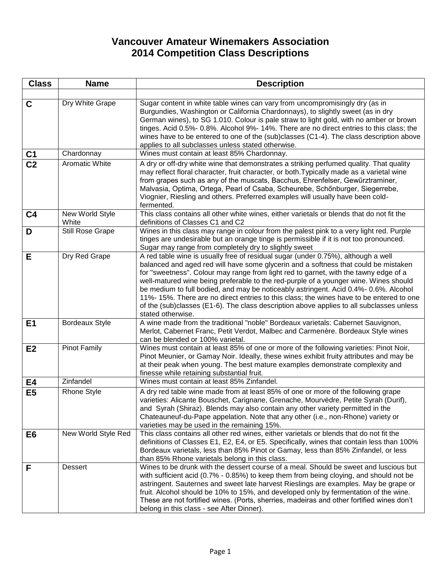## **Vancouver Amateur Winemakers Association 2014 Competition Class Descriptions**

| <b>Class</b>    | <b>Name</b>              | <b>Description</b>                                                                                                                                                                                                                                                                                                                                                                                                                                                                                                                                                                                                                                           |
|-----------------|--------------------------|--------------------------------------------------------------------------------------------------------------------------------------------------------------------------------------------------------------------------------------------------------------------------------------------------------------------------------------------------------------------------------------------------------------------------------------------------------------------------------------------------------------------------------------------------------------------------------------------------------------------------------------------------------------|
|                 |                          |                                                                                                                                                                                                                                                                                                                                                                                                                                                                                                                                                                                                                                                              |
| $\mathbf c$     | Dry White Grape          | Sugar content in white table wines can vary from uncompromisingly dry (as in<br>Burgundies, Washington or California Chardonnays), to slightly sweet (as in dry<br>German wines), to SG 1.010. Colour is pale straw to light gold, with no amber or brown<br>tinges. Acid 0.5%- 0.8%. Alcohol 9%- 14%. There are no direct entries to this class; the<br>wines have to be entered to one of the (sub)classes (C1-4). The class description above<br>applies to all subclasses unless stated otherwise.                                                                                                                                                       |
| C <sub>1</sub>  | Chardonnay               | Wines must contain at least 85% Chardonnay.                                                                                                                                                                                                                                                                                                                                                                                                                                                                                                                                                                                                                  |
| $\overline{C2}$ | Aromatic White           | A dry or off-dry white wine that demonstrates a striking perfumed quality. That quality<br>may reflect floral character, fruit character, or both. Typically made as a varietal wine<br>from grapes such as any of the muscats, Bacchus, Ehrenfelser, Gewürztraminer,<br>Malvasia, Optima, Ortega, Pearl of Csaba, Scheurebe, Schönburger, Siegerrebe,<br>Viognier, Riesling and others. Preferred examples will usually have been cold-<br>fermented.                                                                                                                                                                                                       |
| C <sub>4</sub>  | New World Style<br>White | This class contains all other white wines, either varietals or blends that do not fit the<br>definitions of Classes C1 and C2                                                                                                                                                                                                                                                                                                                                                                                                                                                                                                                                |
| D               | Still Rose Grape         | Wines in this class may range in colour from the palest pink to a very light red. Purple<br>tinges are undesirable but an orange tinge is permissible if it is not too pronounced.<br>Sugar may range from completely dry to slightly sweet                                                                                                                                                                                                                                                                                                                                                                                                                  |
| Е               | Dry Red Grape            | A red table wine is usually free of residual sugar (under 0.75%), although a well<br>balanced and aged red will have some glycerin and a softness that could be mistaken<br>for "sweetness". Colour may range from light red to garnet, with the tawny edge of a<br>well-matured wine being preferable to the red-purple of a younger wine. Wines should<br>be medium to full bodied, and may be noticeably astringent. Acid 0.4%- 0.6%. Alcohol<br>11%-15%. There are no direct entries to this class; the wines have to be entered to one<br>of the (sub)classes (E1-6). The class description above applies to all subclasses unless<br>stated otherwise. |
| E1              | <b>Bordeaux Style</b>    | A wine made from the traditional "noble" Bordeaux varietals: Cabernet Sauvignon,<br>Merlot, Cabernet Franc, Petit Verdot, Malbec and Carmenère. Bordeaux Style wines<br>can be blended or 100% varietal.                                                                                                                                                                                                                                                                                                                                                                                                                                                     |
| E2              | <b>Pinot Family</b>      | Wines must contain at least 85% of one or more of the following varieties: Pinot Noir,<br>Pinot Meunier, or Gamay Noir. Ideally, these wines exhibit fruity attributes and may be<br>at their peak when young. The best mature examples demonstrate complexity and<br>finesse while retaining substantial fruit.                                                                                                                                                                                                                                                                                                                                             |
| E4              | Zinfandel                | Wines must contain at least 85% Zinfandel.                                                                                                                                                                                                                                                                                                                                                                                                                                                                                                                                                                                                                   |
| E <sub>5</sub>  | <b>Rhone Style</b>       | A dry red table wine made from at least 85% of one or more of the following grape<br>varieties: Alicante Bouschet, Carignane, Grenache, Mourvèdre, Petite Syrah (Durif),<br>and Syrah (Shiraz). Blends may also contain any other variety permitted in the<br>Chateauneuf-du-Pape appelation. Note that any other (i.e., non-Rhone) variety or<br>varieties may be used in the remaining 15%.                                                                                                                                                                                                                                                                |
| E <sub>6</sub>  | New World Style Red      | This class contains all other red wines, either varietals or blends that do not fit the<br>definitions of Classes E1, E2, E4, or E5. Specifically, wines that contain less than 100%<br>Bordeaux varietals, less than 85% Pinot or Gamay, less than 85% Zinfandel, or less<br>than 85% Rhone varietals belong in this class.                                                                                                                                                                                                                                                                                                                                 |
| F               | Dessert                  | Wines to be drunk with the dessert course of a meal. Should be sweet and luscious but<br>with sufficient acid (0.7% - 0.85%) to keep them from being cloying, and should not be<br>astringent. Sauternes and sweet late harvest Rieslings are examples. May be grape or<br>fruit. Alcohol should be 10% to 15%, and developed only by fermentation of the wine.<br>These are not fortified wines. (Ports, sherries, madeiras and other fortified wines don't<br>belong in this class - see After Dinner).                                                                                                                                                    |